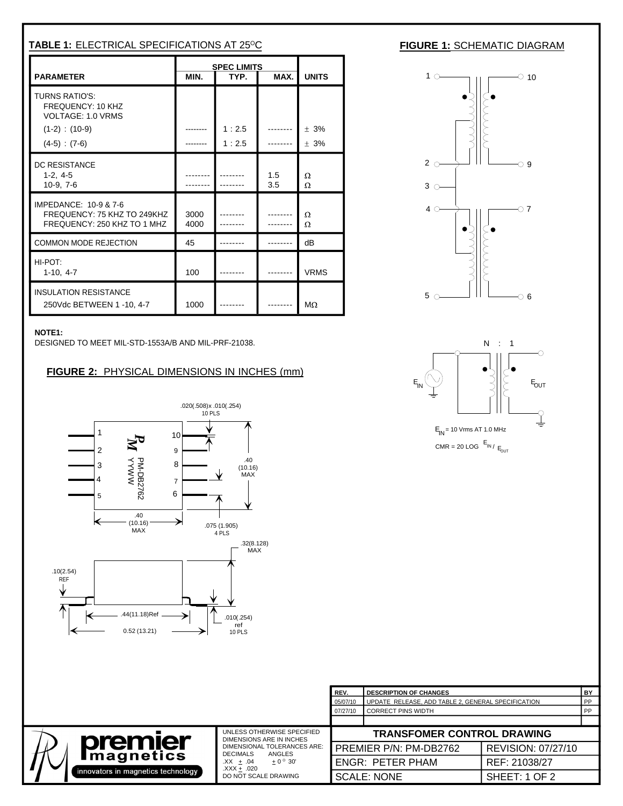| TABLE 1: ELECTRICAL SPECIFICATIONS AT 25°C                                                             |                                      |                                                                 |            |                                               | <b>FIGURE 1: SCHEMATIC DIAGRAM</b>                                                                                                                                                                                                                                                                                                                |
|--------------------------------------------------------------------------------------------------------|--------------------------------------|-----------------------------------------------------------------|------------|-----------------------------------------------|---------------------------------------------------------------------------------------------------------------------------------------------------------------------------------------------------------------------------------------------------------------------------------------------------------------------------------------------------|
| PARAMETER                                                                                              |                                      | SPEC LIMITS                                                     |            | MAX. UNITS                                    | $1$ $\circ$ $\qquad$ $\qquad$ $\qquad$ $\qquad$ $\qquad$ $\circ$ $\qquad$ $\qquad$ $\circ$ $\qquad$ $\circ$ $\qquad$ $\circ$ $\qquad$ $\circ$ $\qquad$ $\circ$ $\qquad$ $\circ$ $\qquad$ $\circ$ $\qquad$ $\circ$ $\qquad$ $\circ$ $\qquad$ $\circ$ $\qquad$ $\circ$ $\qquad$ $\circ$ $\qquad$ $\circ$ $\qquad$ $\circ$ $\qquad$ $\circ$ $\qquad$ |
| TURNS RATIO'S:<br>FREQUENCY: 10 KHZ<br>VOLTAGE: 1.0 VRMS<br>$(1-2)$ : $(10-9)$                         |                                      | 1:2.5                                                           |            | $\blacksquare$ ------- $\blacksquare \pm 3\%$ |                                                                                                                                                                                                                                                                                                                                                   |
| $(4-5) : (7-6)$<br>DC RESISTANCE<br>1-2, 4-5<br>10-9, 7-6                                              | --------<br>---------  <br>--------- | 1:2.5<br>                                                       | 1.5<br>3.5 | $\cdots$ $\pm$ 3%                             | $3^\circ$                                                                                                                                                                                                                                                                                                                                         |
| IMPEDANCE: 10-9 & 7-6<br>FREQUENCY: 75 KHZ TO 249KHZ 3000 $\begin{bmatrix} 3000 \\ 4000 \end{bmatrix}$ |                                      |                                                                 |            |                                               | $\overline{11}$ $\overline{27}$<br>$40 \rightarrow$                                                                                                                                                                                                                                                                                               |
| COMMON MODE REJECTION                                                                                  | 45                                   | ------                                                          |            | -------- II dB                                |                                                                                                                                                                                                                                                                                                                                                   |
| HI-POT:<br>$1-10, 4-7$                                                                                 | 100                                  | . <b>.</b>                                                      |            | --------    VRMS                              |                                                                                                                                                                                                                                                                                                                                                   |
| <b>INSULATION RESISTANCE</b><br>250Vdc BETWEEN 1 -10, 4-7                                              |                                      | 1000 -------- $\blacksquare$ -------- $\blacksquare$ M $\Omega$ |            |                                               | $5^\circ$ 6                                                                                                                                                                                                                                                                                                                                       |

DESIGNED TO MEET MIL-STD-1553A/B AND MIL-PRF-21038.

## **FIGURE 2:** PHYSICAL DIMENSIONS IN INCHES (mm)